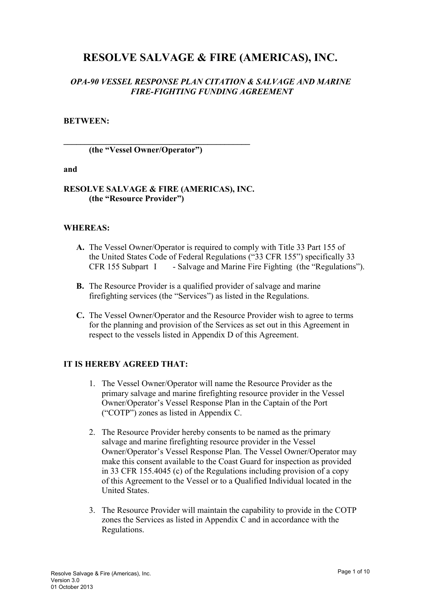## **RESOLVE SALVAGE & FIRE (AMERICAS), INC.**

## *OPA-90 VESSEL RESPONSE PLAN CITATION & SALVAGE AND MARINE FIRE-FIGHTING FUNDING AGREEMENT*

### **BETWEEN:**

 **(the "Vessel Owner/Operator")**

**\_\_\_\_\_\_\_\_\_\_\_\_\_\_\_\_\_\_\_\_\_\_\_\_\_\_\_\_\_\_\_\_\_\_\_\_\_\_\_\_\_\_\_\_** 

### **and**

## **RESOLVE SALVAGE & FIRE (AMERICAS), INC. (the "Resource Provider")**

### **WHEREAS:**

- **A.** The Vessel Owner/Operator is required to comply with Title 33 Part 155 of the United States Code of Federal Regulations ("33 CFR 155") specifically 33 CFR 155 Subpart I - Salvage and Marine Fire Fighting (the "Regulations").
- **B.** The Resource Provider is a qualified provider of salvage and marine firefighting services (the "Services") as listed in the Regulations.
- **C.** The Vessel Owner/Operator and the Resource Provider wish to agree to terms for the planning and provision of the Services as set out in this Agreement in respect to the vessels listed in Appendix D of this Agreement.

### **IT IS HEREBY AGREED THAT:**

- 1. The Vessel Owner/Operator will name the Resource Provider as the primary salvage and marine firefighting resource provider in the Vessel Owner/Operator's Vessel Response Plan in the Captain of the Port ("COTP") zones as listed in Appendix C.
- 2. The Resource Provider hereby consents to be named as the primary salvage and marine firefighting resource provider in the Vessel Owner/Operator's Vessel Response Plan. The Vessel Owner/Operator may make this consent available to the Coast Guard for inspection as provided in 33 CFR 155.4045 (c) of the Regulations including provision of a copy of this Agreement to the Vessel or to a Qualified Individual located in the **United States.**
- 3. The Resource Provider will maintain the capability to provide in the COTP zones the Services as listed in Appendix C and in accordance with the Regulations.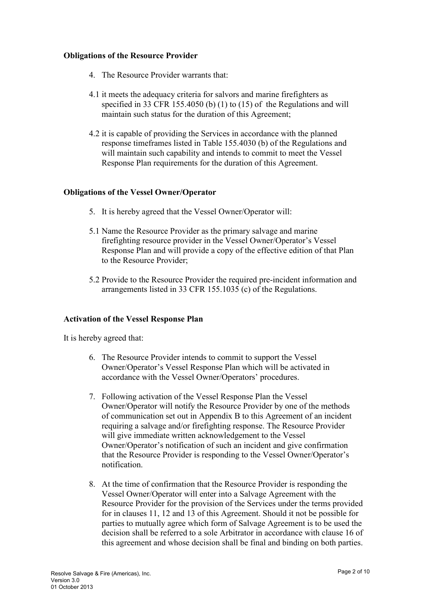## **Obligations of the Resource Provider**

- 4. The Resource Provider warrants that:
- 4.1 it meets the adequacy criteria for salvors and marine firefighters as specified in 33 CFR 155.4050 (b) (1) to (15) of the Regulations and will maintain such status for the duration of this Agreement;
- 4.2 it is capable of providing the Services in accordance with the planned response timeframes listed in Table 155.4030 (b) of the Regulations and will maintain such capability and intends to commit to meet the Vessel Response Plan requirements for the duration of this Agreement.

## **Obligations of the Vessel Owner/Operator**

- 5. It is hereby agreed that the Vessel Owner/Operator will:
- 5.1 Name the Resource Provider as the primary salvage and marine firefighting resource provider in the Vessel Owner/Operator's Vessel Response Plan and will provide a copy of the effective edition of that Plan to the Resource Provider;
- 5.2 Provide to the Resource Provider the required pre-incident information and arrangements listed in 33 CFR 155.1035 (c) of the Regulations.

## **Activation of the Vessel Response Plan**

It is hereby agreed that:

- 6. The Resource Provider intends to commit to support the Vessel Owner/Operator's Vessel Response Plan which will be activated in accordance with the Vessel Owner/Operators' procedures.
- 7. Following activation of the Vessel Response Plan the Vessel Owner/Operator will notify the Resource Provider by one of the methods of communication set out in Appendix B to this Agreement of an incident requiring a salvage and/or firefighting response. The Resource Provider will give immediate written acknowledgement to the Vessel Owner/Operator's notification of such an incident and give confirmation that the Resource Provider is responding to the Vessel Owner/Operator's notification.
- 8. At the time of confirmation that the Resource Provider is responding the Vessel Owner/Operator will enter into a Salvage Agreement with the Resource Provider for the provision of the Services under the terms provided for in clauses 11, 12 and 13 of this Agreement. Should it not be possible for parties to mutually agree which form of Salvage Agreement is to be used the decision shall be referred to a sole Arbitrator in accordance with clause 16 of this agreement and whose decision shall be final and binding on both parties.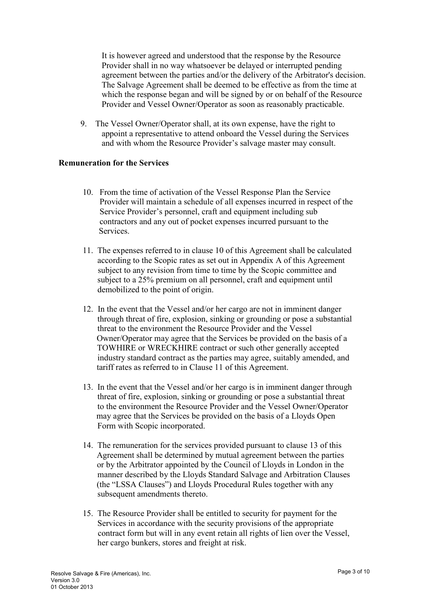It is however agreed and understood that the response by the Resource Provider shall in no way whatsoever be delayed or interrupted pending agreement between the parties and/or the delivery of the Arbitrator s decision. The Salvage Agreement shall be deemed to be effective as from the time at which the response began and will be signed by or on behalf of the Resource Provider and Vessel Owner/Operator as soon as reasonably practicable.

 . The Vessel Owner/Operator shall, at its own expense, have the right to appoint a representative to attend onboard the Vessel during the Services and with whom the Resource Provider's salvage master may consult.

## **Remuneration for the Services**

- 10. From the time of activation of the Vessel Response Plan the Service Provider will maintain a schedule of all expenses incurred in respect of the Service Provider's personnel, craft and equipment including sub contractors and any out of pocket expenses incurred pursuant to the **Services**
- 11. The expenses referred to in clause 10 of this Agreement shall be calculated according to the Scopic rates as set out in Appendix A of this Agreement subject to any revision from time to time by the Scopic committee and subject to a 25% premium on all personnel, craft and equipment until demobilized to the point of origin.
- 12. In the event that the Vessel and/or her cargo are not in imminent danger through threat of fire, explosion, sinking or grounding or pose a substantial threat to the environment the Resource Provider and the Vessel Owner/Operator may agree that the Services be provided on the basis of a TOWHIRE or WRECKHIRE contract or such other generally accepted industry standard contract as the parties may agree, suitably amended, and tariff rates as referred to in Clause 11 of this Agreement.
- 13. In the event that the Vessel and/or her cargo is in imminent danger through threat of fire, explosion, sinking or grounding or pose a substantial threat to the environment the Resource Provider and the Vessel Owner/Operator may agree that the Services be provided on the basis of a Lloyds Open Form with Scopic incorporated.
- 14. The remuneration for the services provided pursuant to clause 13 of this Agreement shall be determined by mutual agreement between the parties or by the Arbitrator appointed by the Council of Lloyds in London in the manner described by the Lloyds Standard Salvage and Arbitration Clauses (the "LSSA Clauses") and Lloyds Procedural Rules together with any subsequent amendments thereto.
- 15. The Resource Provider shall be entitled to security for payment for the Services in accordance with the security provisions of the appropriate contract form but will in any event retain all rights of lien over the Vessel, her cargo bunkers, stores and freight at risk.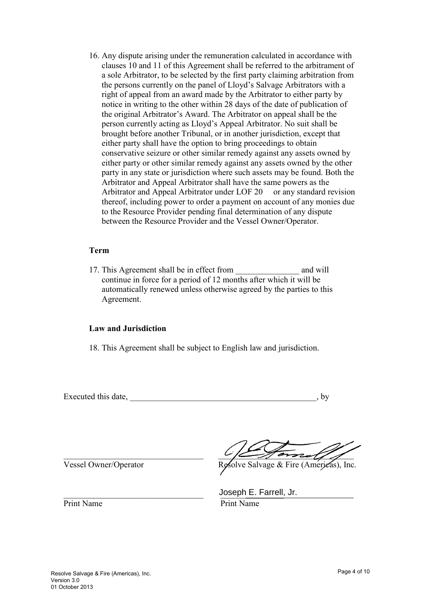16. Any dispute arising under the remuneration calculated in accordance with clauses 10 and 11 of this Agreement shall be referred to the arbitrament of a sole Arbitrator, to be selected by the first party claiming arbitration from the persons currently on the panel of Lloyd's Salvage Arbitrators with a right of appeal from an award made by the Arbitrator to either party by notice in writing to the other within 28 days of the date of publication of the original Arbitrator's Award. The Arbitrator on appeal shall be the person currently acting as Lloyd's Appeal Arbitrator. No suit shall be brought before another Tribunal, or in another jurisdiction, except that either party shall have the option to bring proceedings to obtain conservative seizure or other similar remedy against any assets owned by either party or other similar remedy against any assets owned by the other party in any state or jurisdiction where such assets may be found. Both the Arbitrator and Appeal Arbitrator shall have the same powers as the Arbitrator and Appeal Arbitrator under LOF 20 or any standard revision thereof, including power to order a payment on account of any monies due to the Resource Provider pending final determination of any dispute between the Resource Provider and the Vessel Owner/Operator.

### **Term**

17. This Agreement shall be in effect from and will continue in force for a period of 12 months after which it will be automatically renewed unless otherwise agreed by the parties to this Agreement.

### **Law and Jurisdiction**

18. This Agreement shall be subject to English law and jurisdiction.

Executed this date, by

\_\_\_\_\_\_\_\_\_\_\_\_\_\_\_\_\_\_\_\_\_\_\_\_\_\_\_\_\_\_\_\_\_ \_\_\_\_\_\_\_\_\_\_\_\_\_\_\_\_\_\_\_\_\_\_\_\_\_\_\_\_\_\_\_\_ Vessel Owner/Operator Resolve Salvage & Fire (Americas), Inc.

\_\_\_\_\_\_\_\_\_\_\_\_\_\_\_\_\_\_\_\_\_\_\_\_\_\_\_\_\_\_\_\_\_ \_\_\_\_\_\_\_\_\_\_\_\_\_\_\_ Joseph E. Farrell, Jr.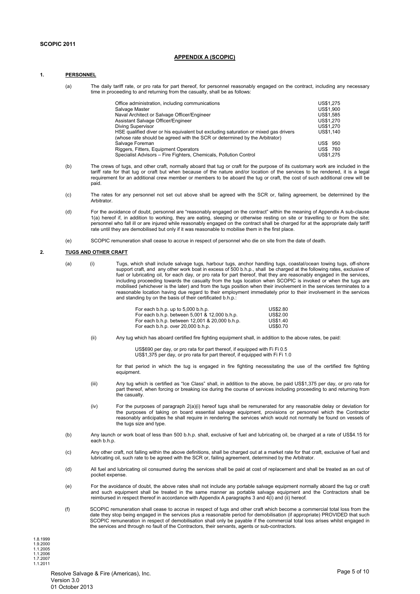#### **APPENDIX A (SCOPIC)**

#### **1. PERSONNEL**

(a) The daily tariff rate, or pro rata for part thereof, for personnel reasonably engaged on the contract, including any necessary time in proceeding to and returning from the casualty, shall be as follows:

| US\$1.275<br>US\$1,900 |
|------------------------|
|                        |
|                        |
| US\$1,585              |
| <b>US\$1.270</b>       |
| US\$1,270              |
| US\$1.140              |
|                        |
| <b>US\$ 950</b>        |
| <b>US\$ 760</b>        |
| US\$1.275              |
|                        |

- (b) The crews of tugs, and other craft, normally aboard that tug or craft for the purpose of its customary work are included in the tariff rate for that tug or craft but when because of the nature and/or location of the services to be rendered, it is a legal requirement for an additional crew member or members to be aboard the tug or craft, the cost of such additional crew will be paid.
- (c) The rates for any personnel not set out above shall be agreed with the SCR or, failing agreement, be determined by the **Arbitrator**
- (d) For the avoidance of doubt, personnel are "reasonably engaged on the contract" within the meaning of Appendix A sub-clause 1(a) hereof if, in addition to working, they are eating, sleeping or otherwise resting on site or travelling to or from the site; personnel who fall ill or are injured while reasonably engaged on the contract shall be charged for at the appropriate daily tariff rate until they are demobilised but only if it was reasonable to mobilise them in the first place.
- (e) SCOPIC remuneration shall cease to accrue in respect of personnel who die on site from the date of death.

#### **2. TUGS AND OTHER CRAFT**

(a) (i) Tugs, which shall include salvage tugs, harbour tugs, anchor handling tugs, coastal/ocean towing tugs, off-shore support craft, and any other work boat in excess of 500 b.h.p., shall be charged at the following rates, exclusive of fuel or lubricating oil, for each day, or pro rata for part thereof, that they are reasonably engaged in the services, including proceeding towards the casualty from the tugs location when SCOPIC is invoked or when the tugs are mobilised (whichever is the later) and from the tugs position when their involvement in the services terminates to a reasonable location having due regard to their employment immediately prior to their involvement in the services and standing by on the basis of their certificated b.h.p.:

| For each b.h.p. up to 5,000 b.h.p.             | <b>US\$2.80</b> |
|------------------------------------------------|-----------------|
| For each b.h.p. between 5,001 & 12,000 b.h.p.  | US\$2.00        |
| For each b.h.p. between 12,001 & 20,000 b.h.p. | US\$1.40        |
| For each b.h.p. over 20,000 b.h.p.             | <b>US\$0.70</b> |

(ii) Any tug which has aboard certified fire fighting equipment shall, in addition to the above rates, be paid:

US\$690 per day, or pro rata for part thereof, if equipped with Fi Fi 0.5 US\$1,375 per day, or pro rata for part thereof, if equipped with Fi Fi 1.0

for that period in which the tug is engaged in fire fighting necessitating the use of the certified fire fighting equipment.

- (iii) Any tug which is certified as "Ice Class" shall, in addition to the above, be paid US\$1,375 per day, or pro rata for part thereof, when forcing or breaking ice during the course of services including proceeding to and returning from the casualty.
- (iv) For the purposes of paragraph 2(a)(i) hereof tugs shall be remunerated for any reasonable delay or deviation for the purposes of taking on board essential salvage equipment, provisions or personnel which the Contractor reasonably anticipates he shall require in rendering the services which would not normally be found on vessels of the tugs size and type.
- (b) Any launch or work boat of less than 500 b.h.p. shall, exclusive of fuel and lubricating oil, be charged at a rate of US\$4.15 for each b.h.p.
- (c) Any other craft, not falling within the above definitions, shall be charged out at a market rate for that craft, exclusive of fuel and lubricating oil, such rate to be agreed with the SCR or, failing agreement, determined by the Arbitrator.
- (d) All fuel and lubricating oil consumed during the services shall be paid at cost of replacement and shall be treated as an out of pocket expense.
- (e) For the avoidance of doubt, the above rates shall not include any portable salvage equipment normally aboard the tug or craft and such equipment shall be treated in the same manner as portable salvage equipment and the Contractors shall be reimbursed in respect thereof in accordance with Appendix A paragraphs 3 and 4(i) and (ii) hereof*.*
- (f) SCOPIC remuneration shall cease to accrue in respect of tugs and other craft which become a commercial total loss from the date they stop being engaged in the services plus a reasonable period for demobilisation (if appropriate) PROVIDED that such SCOPIC remuneration in respect of demobilisation shall only be payable if the commercial total loss arises whilst engaged in the services and through no fault of the Contractors, their servants, agents or sub-contractors.

1.8.1999 1.9.2000 1.1.2005

1.1.2006 1.7.2007 1.1.2011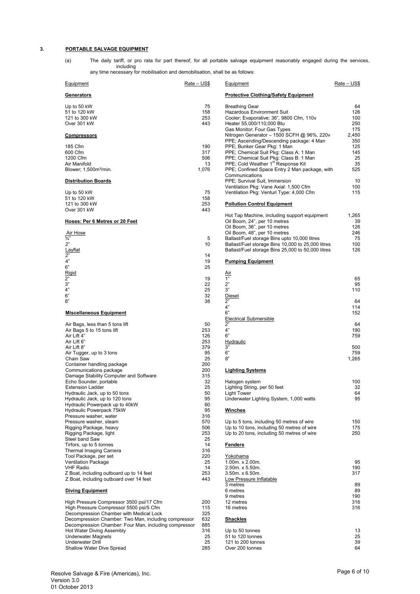#### **3. PORTABLE SALVAGE EQUIPMENT**

(a) The daily tariff, or pro rata for part thereof, for all portable salvage equipment reasonably engaged during the services, including any time necessary for mobilisation and demobilisation, shall be as follows:

| Equipment<br>$Rate - US$$                             |           | Equipment                                         | Rate – US\$ |
|-------------------------------------------------------|-----------|---------------------------------------------------|-------------|
| Generators                                            |           | <b>Protective Clothing/Safety Equipment</b>       |             |
| Up to 50 kW                                           | 75        | <b>Breathing Gear</b>                             | 64          |
| 51 to 120 kW                                          | 158       | Hazardous Environment Suit                        | 126         |
| 121 to 300 kW                                         | 253       | Cooler; Evaporative; 36", 9800 Cfm, 110v          | 100         |
| Over 301 kW                                           | 443       | Heater 55,000/110,000 Btu                         | 250         |
|                                                       |           | Gas Monitor; Four Gas Types                       | 175         |
| <b>Compressors</b>                                    |           | Nitrogen Generator - 1500 SCFH @ 96%, 220v        | 2,450       |
|                                                       |           | PPE; Ascending/Descending package: 4 Man          | 350         |
| 185 Cfm                                               | 190       | PPE; Bunker Gear Pkg: 1 Man                       | 125         |
| 600 Cfm                                               | 317       | PPE; Chemical Suit Pkg: Class A: 1 Man            | 145         |
| 1200 Cfm                                              | 506       | PPE; Chemical Suit Pkg: Class B: 1 Man            | 25          |
| Air Manifold                                          | 13        | PPE; Cold Weather 1 <sup>st</sup> Response Kit    | 35          |
| Blower; 1,500m <sup>3</sup> /min.                     | 1,076     | PPE; Confined Space Entry 2 Man package, with     | 525         |
|                                                       |           | Communications                                    |             |
| <b>Distribution Boards</b>                            |           | PPE; Survival Suit, Immersion                     | 10          |
|                                                       |           | Ventilation Pkg: Vane Axial: 1,500 Cfm            | 100         |
| Up to 50 kW                                           | 75        | Ventilation Pkg: Venturi Type: 4,000 Cfm          | 115         |
| 51 to 120 kW                                          | 158       |                                                   |             |
| 121 to 300 kW                                         | 253       | <b>Pollution Control Equipment</b>                |             |
| Over 301 kW                                           | 443       |                                                   |             |
|                                                       |           | Hot Tap Machine, including support equipment      | 1,265       |
| Hoses: Per 6 Metres or 20 Feet                        |           | Oil Boom, 24", per 10 metres                      | 39          |
|                                                       |           | Oil Boom, 36", per 10 metres                      | 126         |
| Air Hose                                              |           | Oil Boom, 48", per 10 metres                      | 246         |
| $\frac{3}{4}$                                         | 5         | Ballast/Fuel storage Bins upto 10,000 litres      | 75          |
| 2"                                                    | 10        | Ballast/Fuel storage Bins 10,000 to 25,000 litres | 100         |
| <b>Layflat</b>                                        |           | Ballast/Fuel storage Bins 25,000 to 50,000 litres | 126         |
| 2"                                                    | 14        |                                                   |             |
| 4"                                                    | 19        | <b>Pumping Equipment</b>                          |             |
| 6"                                                    | 25        |                                                   |             |
| Rigid                                                 |           | <u>Air</u>                                        |             |
| 2"                                                    | 19        | 1"                                                | 65          |
| 3"                                                    | 22        | 2"                                                | 95          |
| 4"                                                    | 25        | 3"                                                | 110         |
| 6"                                                    | 32        | Diesel                                            |             |
| 8"                                                    | 38        | 2"                                                | 64          |
|                                                       |           | 4"                                                | 114         |
|                                                       |           | 6"                                                | 152         |
| <b>Miscellaneous Equipment</b>                        |           |                                                   |             |
|                                                       | 50        | <b>Electrical Submersible</b><br>2"               | 64          |
| Air Bags, less than 5 tons lift                       |           |                                                   |             |
| Air Bags 5 to 15 tons lift                            | 253       | 4"                                                | 190         |
| Air Lift 4"                                           | 126       | 6"                                                | 759         |
| Air Lift 6"                                           | 253       | Hydraulic                                         |             |
| Air Lift 8"                                           | 379       | 3"                                                | 500         |
| Air Tugger, up to 3 tons                              | 95        | 6"                                                | 759         |
| Chain Saw                                             | 25        | 8"                                                | 1,265       |
| Container handling package                            | 200       |                                                   |             |
| Communications package                                | 200       | <b>Lighting Systems</b>                           |             |
| Damage Stability Computer and Software                | 315       |                                                   |             |
| Echo Sounder, portable                                | 32        | Halogen system                                    | 100         |
| <b>Extension Ladder</b>                               | 25        | Lighting String, per 50 feet                      | 32          |
| Hydraulic Jack, up to 50 tons                         | 50        | Light Tower                                       | 64          |
| Hydraulic Jack, up to 120 tons                        | 95        | Underwater Lighting System, 1,000 watts           | 95          |
| Hydraulic Powerpack up to 40kW                        | 60        |                                                   |             |
| Hydraulic Powerpack 75kW                              | 95        | <b>Winches</b>                                    |             |
| Pressure washer, water                                | 316       |                                                   |             |
| Pressure washer, steam                                | 570       | Up to 5 tons, including 50 metres of wire         | 150         |
| Rigging Package, heavy                                | 506       | Up to 10 tons, including 50 metres of wire        | 175         |
| Rigging Package, light                                | 253       | Up to 20 tons, including 50 metres of wire        | 250         |
| Steel band Saw                                        | 25        |                                                   |             |
| Tirfors, up to 5 tonnes                               | 14        | Fenders                                           |             |
| Thermal Imaging Camera                                | 316       |                                                   |             |
| Tool Package, per set                                 | 220       | Yokohama                                          |             |
| <b>Ventilation Package</b>                            | 25        | 1.00m. x 2.00m.                                   | 95          |
| <b>VHF Radio</b>                                      | 14        | 2.50m. x 5.50m.                                   | 190         |
| Z Boat, including outboard up to 14 feet              | 253       | 3.50m. x 6.50m.                                   | 317         |
| Z Boat, including outboard over 14 feet               | 443       | Low Pressure Inflatable                           |             |
|                                                       |           | 3 metres                                          | 89          |
|                                                       |           | 6 metres                                          | 89          |
| <b>Diving Equipment</b>                               |           |                                                   |             |
|                                                       |           | 9 metres                                          | 190<br>316  |
| High Pressure Compressor 3500 psi/17 Cfm              | 200       | 12 metres                                         |             |
|                                                       |           | 16 metres                                         | 316         |
| High Pressure Compressor 5500 psi/5 Cfm               | 115       |                                                   |             |
| Decompression Chamber with Medical Lock               | 325       |                                                   |             |
| Decompression Chamber: Two Man, including compressor  | 632       | <b>Shackles</b>                                   |             |
| Decompression Chamber: Four Man, including compressor | 885       |                                                   |             |
| Hot Water Diving Assembly                             | 316       | Up to 50 tonnes                                   | 13          |
| <b>Underwater Magnets</b>                             | 25        | 51 to 120 tonnes                                  | 25          |
| <b>Underwater Drill</b><br>Shallow Water Dive Spread  | 25<br>285 | 121 to 200 tonnes<br>Over 200 tonnes              | 39<br>64    |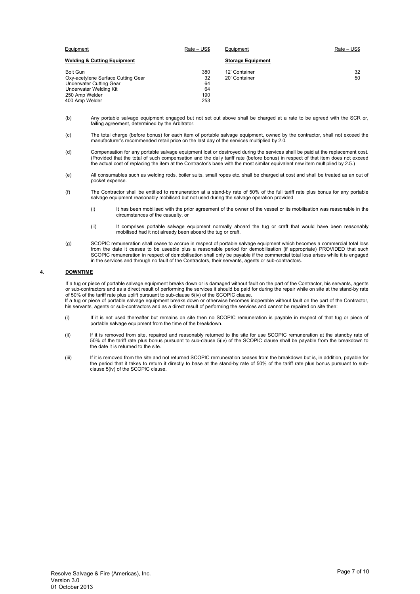| Equipment                              | $Rate - US$$ | Equipment                | $Rate - US$$ |
|----------------------------------------|--------------|--------------------------|--------------|
| <b>Welding &amp; Cutting Equipment</b> |              | <b>Storage Equipment</b> |              |
| <b>Bolt Gun</b>                        | 380          | 12' Container            | 32           |
| Oxy-acetylene Surface Cutting Gear     | 32           | 20' Container            | 50           |
| <b>Underwater Cutting Gear</b>         | 64           |                          |              |
| Underwater Welding Kit                 | 64           |                          |              |
| 250 Amp Welder                         | 190          |                          |              |
| 400 Amp Welder                         | 253          |                          |              |

- (b) Any portable salvage equipment engaged but not set out above shall be charged at a rate to be agreed with the SCR or, failing agreement, determined by the Arbitrator.
- (c) The total charge (before bonus) for each item of portable salvage equipment, owned by the contractor, shall not exceed the manufacturer's recommended retail price on the last day of the services multiplied by 2.0*.*
- (d) Compensation for any portable salvage equipment lost or destroyed during the services shall be paid at the replacement cost. (Provided that the total of such compensation and the daily tariff rate (before bonus) in respect of that item does not exceed the actual cost of replacing the item at the Contractor's base with the most similar equivalent new item multiplied by 2.5.)
- (e) All consumables such as welding rods, boiler suits, small ropes etc. shall be charged at cost and shall be treated as an out of pocket expense*.*
- (f) The Contractor shall be entitled to remuneration at a stand-by rate of 50% of the full tariff rate plus bonus for any portable salvage equipment reasonably mobilised but not used during the salvage operation provided
	- (i) It has been mobilised with the prior agreement of the owner of the vessel or its mobilisation was reasonable in the circumstances of the casualty, or
	- (ii) It comprises portable salvage equipment normally aboard the tug or craft that would have been reasonably mobilised had it not already been aboard the tug or craft.
- (g) SCOPIC remuneration shall cease to accrue in respect of portable salvage equipment which becomes a commercial total loss from the date it ceases to be useable plus a reasonable period for demobilisation (if appropriate) PROVIDED that such SCOPIC remuneration in respect of demobilisation shall only be payable if the commercial total loss arises while it is engaged in the services and through no fault of the Contractors, their servants, agents or sub-contractors.

#### **4. DOWNTIME**

If a tug or piece of portable salvage equipment breaks down or is damaged without fault on the part of the Contractor, his servants, agents or sub-contractors and as a direct result of performing the services it should be paid for during the repair while on site at the stand-by rate of 50% of the tariff rate plus uplift pursuant to sub-clause 5(iv) of the SCOPIC clause. If a tug or piece of portable salvage equipment breaks down or otherwise becomes inoperable without fault on the part of the Contractor,

- his servants, agents or sub-contractors and as a direct result of performing the services and cannot be repaired on site then:
- (i) If it is not used thereafter but remains on site then no SCOPIC remuneration is payable in respect of that tug or piece of portable salvage equipment from the time of the breakdown.
- (ii) If it is removed from site, repaired and reasonably returned to the site for use SCOPIC remuneration at the standby rate of 50% of the tariff rate plus bonus pursuant to sub-clause 5(iv) of the SCOPIC clause shall be payable from the breakdown to the date it is returned to the site.
- (iii) If it is removed from the site and not returned SCOPIC remuneration ceases from the breakdown but is, in addition, payable for the period that it takes to return it directly to base at the stand-by rate of 50% of the tariff rate plus bonus pursuant to subclause 5(iv) of the SCOPIC clause.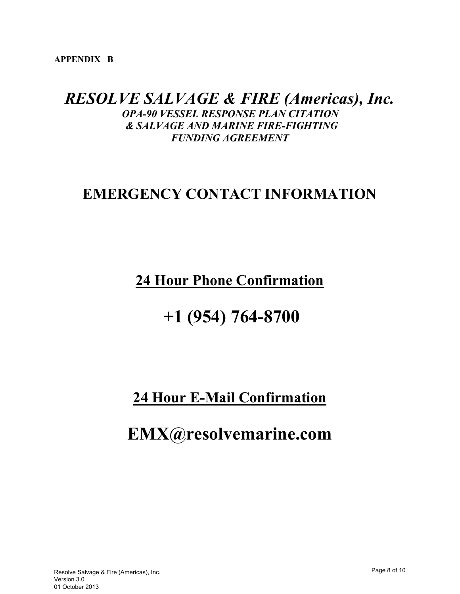**APPENDIX B** 

# *RESOLVE SALVAGE & FIRE (Americas), Inc. OPA-90 VESSEL RESPONSE PLAN CITATION*

*& SALVAGE AND MARINE FIRE-FIGHTING FUNDING AGREEMENT*

## **EMERGENCY CONTACT INFORMATION**

## **24 Hour Phone Confirmation**

## **+1 (954) 764-8700**

## **24 Hour E-Mail Confirmation**

## **EMX@resolvemarine.com**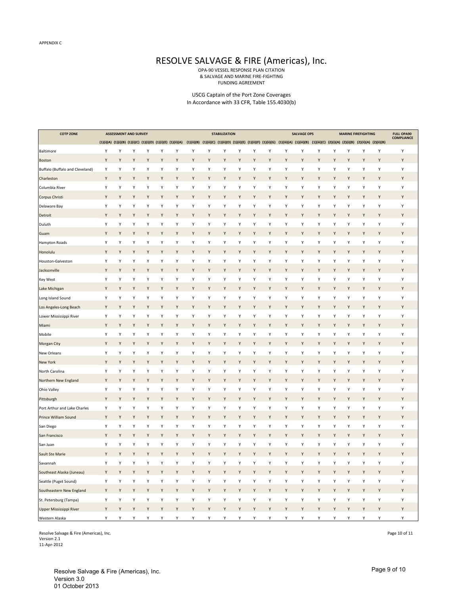## RESOLVE SALVAGE & FIRE (Americas), Inc.

OPA-90 VESSEL RESPONSE PLAN CITATION & SALVAGE AND MARINE FIRE-FIGHTING FUNDING AGREEMENT

USCG Captain of the Port Zone Coverages In Accordance with 33 CFR, Table 155.4030(b)

| <b>COTP ZONE</b>                |   | <b>ASSESSMENT AND SURVEY</b>  |                      |   |                                |   |   |                                  | <b>STABILIZATION</b> |                       |   |   |                        | <b>SALVAGE OPS</b> |                       |   |           | <b>MARINE FIREFIGHTING</b> |                       | <b>FULL OPA90<br/>COMPLIANCE</b> |
|---------------------------------|---|-------------------------------|----------------------|---|--------------------------------|---|---|----------------------------------|----------------------|-----------------------|---|---|------------------------|--------------------|-----------------------|---|-----------|----------------------------|-----------------------|----------------------------------|
|                                 |   | (1)(i)(A) (1)(i)(B) (1)(i)(C) |                      |   | (1)(i)(D) (1)(i)(E) (1)(ii)(A) |   |   | (1)(ii)(B) (1)(ii)(C) (1)(ii)(D) |                      | (1)(ii)(E) (1)(ii)(F) |   |   | (1)(ii)(G) (1)(iii)(A) | (1)(iii)(B)        | (1)(iii)(C) (2)(i)(A) |   | (2)(i)(B) |                            | (2)(ii)(A) (2)(ii)(B) |                                  |
| Baltimore                       | Υ | Y                             | Υ                    | Y | Υ                              | Υ | Υ | Υ                                | Υ                    | Υ                     | Y | Υ | Υ                      | Y                  | Υ                     | Υ | Υ         | Υ                          | Υ                     | Υ                                |
| Boston                          | Υ | Y                             | Y                    | Y | Y                              | Y | Y | Y                                | Y                    | Y                     | Y | Y | Y                      | Y                  | Y                     | Y | Y         | Y                          | Y                     | Y                                |
| Buffalo (Buffalo and Cleveland) | Υ | Υ                             | $\check{\mathbf{Y}}$ | Υ | Υ                              | Υ | Υ | Υ                                | Υ                    | Υ                     | Y | Υ | Υ                      | Υ                  | Υ                     | Υ | Υ         | Υ                          | Υ                     | Υ                                |
| Charleston                      | Υ | Y                             | Y                    | Υ | Y                              | Y | Y | Y                                | Y                    | Y                     | Y | Y | Υ                      | Y                  | Y                     | Υ | Y         | Y                          | Y                     | Υ                                |
| Columbia River                  | Υ | Υ                             | Υ                    | Y | Υ                              | Y | Υ | Υ                                | Υ                    | Υ                     | Y | Υ | Υ                      | Υ                  | Υ                     | Υ | Y         | Υ                          | Υ                     | Υ                                |
| Corpus Christi                  | Y | Y                             | Y                    | Y | Y                              | Y | Y | N                                | V                    | ٧                     | Y | Y | Y                      | Y                  | Y                     | Y | v         | Y                          | Y                     | Y                                |
| Delaware Bay                    | Υ | Υ                             | Υ                    | Y | Υ                              | Υ | Υ | Υ                                | Υ                    | Υ                     | Y | Υ | Υ                      | Υ                  | Υ                     | Υ | Υ         | Υ                          | Υ                     | Υ                                |
| Detroit                         | Y | Y                             | Y                    | Y | Y                              | Y | Y |                                  |                      |                       | Y |   | Y                      | Y                  | Y                     | Y |           | Y                          | Y                     | Y                                |
| Duluth                          | Υ | Υ                             | Υ                    | Υ | Υ                              | Υ | Υ | Υ                                | Υ                    | Υ                     | Y | Υ | Υ                      | Υ                  | Υ                     | Υ | Υ         | Υ                          | Υ                     | Υ                                |
| Guam                            | Y | Y                             | Y                    | Y | Y                              | Y | Y | Y                                | Y                    | Y                     | Y | ٧ | Y                      | Y                  | Y                     | Y | Y         | Y                          | Y                     | Υ                                |
| <b>Hampton Roads</b>            | Υ | Υ                             | Υ                    | Υ | Υ                              | Υ | Υ | Υ                                | Υ                    | Υ                     | Y | Υ | $\mathbf{Y}$           | Υ                  | Υ                     | Υ | Υ         | Υ                          | Υ                     | Υ                                |
| Honolulu                        | Υ | Y                             | Y                    | Υ | Y                              | Y | Y |                                  |                      |                       | Y | Υ | Υ                      | Y                  | Y                     | Υ | ١         | Y                          | Y                     | Υ                                |
| Houston-Galveston               | Υ | Υ                             | Υ                    | Υ | Υ                              | Υ | Υ | Υ                                | Υ                    | Υ                     | Y | Υ | Υ                      | Υ                  | Υ                     | Υ | Υ         | Υ                          | Υ                     | Υ                                |
| Jacksonville                    | Y | Y                             | Y                    | Y | Y                              | Y | Y | V                                |                      | Y                     | Y | ٧ | Y                      | Y                  | Y                     | Y | Y         | Y                          | Y                     | Y                                |
| Key West                        | Υ | Υ                             | Υ                    | Y | Y                              | Y | Υ | Υ                                | Υ                    | Υ                     | Y | Υ | Υ                      | Υ                  | Υ                     | Υ | Υ         | Υ                          | Υ                     | Υ                                |
| Lake Michigan                   | Y | Y                             | Υ                    |   | Y                              | Y | Y |                                  |                      |                       | Υ |   | Y                      | Y                  | Y                     | Y |           | Y                          | Y                     | Y                                |
| Long Island Sound               | Υ | Υ                             | Υ                    | Υ | Υ                              | Υ | Y | Υ                                | Υ                    | Υ                     | Y | Υ | Υ                      | Υ                  | Υ                     | Υ | Υ         | Υ                          | Υ                     | Υ                                |
| Los Angeles-Long Beach          | Y | Y                             | Y                    | Y | Ý                              | Y |   |                                  |                      |                       | Ÿ |   | Ý                      | Y                  | Y                     | Y |           | Ý                          | Y                     | Υ                                |
| Lower Mississippi River         | Υ | Υ                             | Υ                    | Υ | Υ                              | Υ | Υ | Υ                                | Υ                    | Υ                     | Y | Υ | Υ                      | Υ                  | Υ                     | Υ | Υ         | Υ                          | Υ                     | Υ                                |
| Miami                           | Y | Y                             | Y                    | Y | Y                              | Y | Y |                                  |                      |                       | Y |   | Y                      | Y                  | Y                     | Y |           | Y                          | Y                     | Υ                                |
| Mobile                          | Υ | Y                             | Υ                    | Y | Υ                              | Υ | Υ | Υ                                | Υ                    | Υ                     | Υ | Υ | Υ                      | Υ                  | Υ                     | Υ | Υ         | Υ                          | Υ                     | Υ                                |
| Morgan City                     | Y | Y                             | Y                    | Y | Y                              | Y | Y | Y                                |                      | Y                     | Y | Y | Y                      | Y                  | Y                     | Y | Y         | Y                          | Y                     | Υ                                |
| New Orleans                     | Υ | Υ                             | Υ                    | Y | Y                              | Y | Υ | Υ                                | Υ                    | Υ                     | Y | Υ | Υ                      | Υ                  | Υ                     | Υ | Υ         | Υ                          | Υ                     | Υ                                |
| New York                        | Υ | Y                             | Y                    | Y | Y                              | Y |   |                                  |                      |                       | Y |   | Y                      | Y                  | Y                     | Y |           | Y                          | Y                     | Υ                                |
| North Carolina                  | Υ | Υ                             | Υ                    | Y | Υ                              | Y | Υ | Υ                                | Υ                    | Υ                     | Y | Υ | Υ                      | Υ                  | Υ                     | Υ | Υ         | Υ                          | Υ                     | Υ                                |
| Northern New England            | Y | Y                             | Ý                    |   |                                |   |   |                                  |                      |                       |   |   | Y                      | Y                  |                       | Y |           | Ý                          |                       | Υ                                |
| Ohio Valley                     | Υ | Υ                             | Υ                    | Y | Υ                              | Υ | Υ | Υ                                | Υ                    | Υ                     | Y | Υ | Υ                      | Υ                  | Υ                     | Υ | Υ         | Υ                          | Υ                     | Υ                                |
| Pittsburgh                      | Y | Y                             | Y                    | Y | Y                              | Y | Y |                                  |                      |                       | Y |   | Y                      | Y                  | Y                     | Y |           | Y                          | Y                     | Υ                                |
| Port Arthur and Lake Charles    | Υ | Y                             | Υ                    | Y | Υ                              | Y | Υ | Υ                                | Υ                    | Υ                     | Y | Υ | Υ                      | Υ                  | Υ                     | Υ | Υ         | Υ                          | Υ                     | Υ                                |
| Prince William Sound            | Y | Y                             | Y                    |   | Y                              | Y |   |                                  |                      |                       | Y |   | Y                      | Y                  | Y                     | Y |           | Y                          | Y                     | Y                                |
| San Diego                       | Υ | Υ                             | Υ                    | Y | Υ                              | Y | Υ | Υ                                | Υ                    | Υ                     | Y | Υ | Υ                      | Υ                  | Υ                     | Υ | Υ         | Υ                          | Υ                     | Υ                                |
| San Francisco                   | Υ | Y                             | Υ                    | Y | Y                              | Y | Y |                                  |                      |                       | Υ |   | Υ                      | Y                  | Y                     | Y |           | Y                          |                       | Υ                                |
| San Juan                        | Υ | Y                             | Y                    | Y | Υ                              | Y | Υ | Υ                                | Υ                    | Υ                     | Y | Υ | Υ                      | Υ                  | Y                     | Υ | Υ         | Υ                          | Υ                     | Υ                                |
| Sault Ste Marie                 | Y | Y                             | Ý                    |   | Ý                              |   |   |                                  |                      |                       | Y |   | Y                      | Y                  | Y                     | Y |           | Y                          | Y                     | Υ                                |
| Savannah                        | Υ | Υ                             | Υ                    | Υ | Υ                              | Υ | Υ | Y                                | Υ                    | Υ                     | Y | Υ | Υ                      | Υ                  | Υ                     | Υ | Υ         | Υ                          | Υ                     | Υ                                |
| Southeast Alaska (Juneau)       | Y | Y                             | Y                    | Y | Y                              | Y | Y |                                  |                      |                       | Y | Y | Y                      | Y                  | Y                     | Y |           | Y                          | Y                     | Υ                                |
| Seattle (Puget Sound)           | Υ | Y                             | Υ                    | Υ | Υ                              | Y | Υ | Υ                                | Υ                    | Υ                     | Y | Υ | Υ                      | Υ                  | Υ                     | Υ | Υ         | Υ                          | Υ                     | Υ                                |
| Southeastern New England        | Y | Y                             | Y                    |   | Ý                              | Y | Y |                                  |                      |                       | Ÿ |   | Ý                      | Y                  | Y                     | Y |           | Y                          | Y                     | Y                                |
| St. Petersburg (Tampa)          | Υ | Y                             | Υ                    | Y | Υ                              | Y | Υ | Υ                                | Υ                    | Υ                     | Y | Υ | Υ                      | Υ                  | Υ                     | Υ | Υ         | Υ                          | Υ                     | Υ                                |
| Upper Mississippi River         | Υ | Y                             | Y                    | Y | Y                              | Y | Y |                                  |                      |                       | Y | Y | Y                      | Y                  | Y                     | Y |           | Y                          | Y                     | Υ                                |
| Western Alaska                  | Υ | Y                             | Υ                    | Y | Ý                              | Y | Y | Υ                                | Y                    | Υ                     | Y | Υ | Y                      | Y                  | Y                     | Y | Y         | Y                          | Y                     | Υ                                |

Resolve Salvage & Fire (Americas), Inc. **Page 10 of 11** and the state of the Salvage B Fire (Americas), Inc. Version 2.1 11-Apr-2012